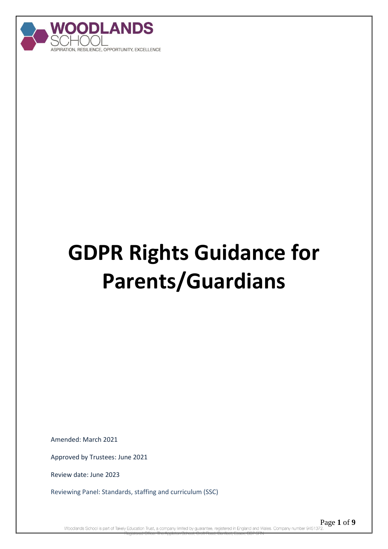

# **GDPR Rights Guidance for Parents/Guardians**

Amended: March 2021

Approved by Trustees: June 2021

Review date: June 2023

Reviewing Panel: Standards, staffing and curriculum (SSC)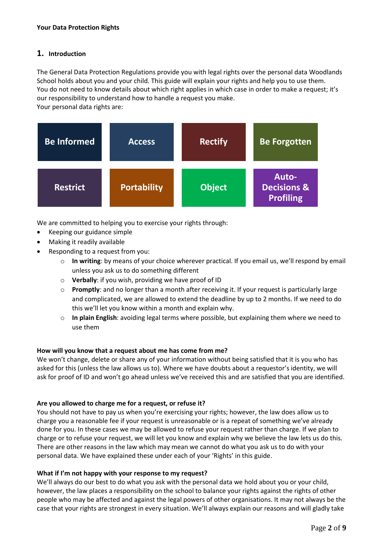## **1. Introduction**

The General Data Protection Regulations provide you with legal rights over the personal data Woodlands School holds about you and your child. This guide will explain your rights and help you to use them. You do not need to know details about which right applies in which case in order to make a request; it's our responsibility to understand how to handle a request you make. Your personal data rights are:

| <b>Be Informed</b> | <b>Access</b>      | <b>Rectify</b> | <b>Be Forgotten</b>                                 |
|--------------------|--------------------|----------------|-----------------------------------------------------|
| <b>Restrict</b>    | <b>Portability</b> | <b>Object</b>  | Auto-<br><b>Decisions &amp;</b><br><b>Profiling</b> |

We are committed to helping you to exercise your rights through:

- Keeping our guidance simple
- Making it readily available
- Responding to a request from you:
	- o **In writing**: by means of your choice wherever practical. If you email us, we'll respond by email unless you ask us to do something different
	- o **Verbally**: if you wish, providing we have proof of ID
	- o **Promptly**: and no longer than a month after receiving it. If your request is particularly large and complicated, we are allowed to extend the deadline by up to 2 months. If we need to do this we'll let you know within a month and explain why.
	- o **In plain English**: avoiding legal terms where possible, but explaining them where we need to use them

## **How will you know that a request about me has come from me?**

We won't change, delete or share any of your information without being satisfied that it is you who has asked for this (unless the law allows us to). Where we have doubts about a requestor's identity, we will ask for proof of ID and won't go ahead unless we've received this and are satisfied that you are identified.

## **Are you allowed to charge me for a request, or refuse it?**

You should not have to pay us when you're exercising your rights; however, the law does allow us to charge you a reasonable fee if your request is unreasonable or is a repeat of something we've already done for you. In these cases we may be allowed to refuse your request rather than charge. If we plan to charge or to refuse your request, we will let you know and explain why we believe the law lets us do this. There are other reasons in the law which may mean we cannot do what you ask us to do with your personal data. We have explained these under each of your 'Rights' in this guide.

## **What if I'm not happy with your response to my request?**

We'll always do our best to do what you ask with the personal data we hold about you or your child, however, the law places a responsibility on the school to balance your rights against the rights of other people who may be affected and against the legal powers of other organisations. It may not always be the case that your rights are strongest in every situation. We'll always explain our reasons and will gladly take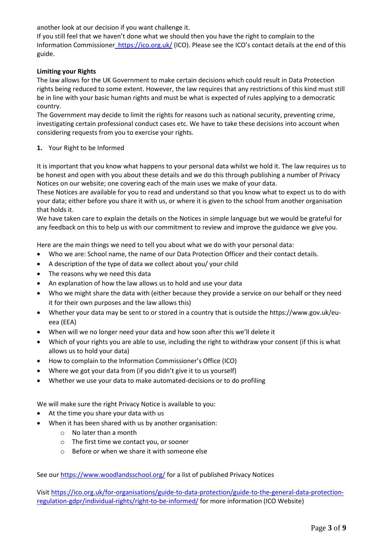another look at our decision if you want challenge it.

If you still feel that we haven't done what we should then you have the right to complain to the Information Commissioner\_https://ico.org.uk/ (ICO). Please see the ICO's contact details at the end of this guide.

## **Limiting your Rights**

The law allows for the UK Government to make certain decisions which could result in Data Protection rights being reduced to some extent. However, the law requires that any restrictions of this kind must still be in line with your basic human rights and must be what is expected of rules applying to a democratic country.

The Government may decide to limit the rights for reasons such as national security, preventing crime, investigating certain professional conduct cases etc. We have to take these decisions into account when considering requests from you to exercise your rights.

#### **1.** Your Right to be Informed

It is important that you know what happens to your personal data whilst we hold it. The law requires us to be honest and open with you about these details and we do this through publishing a number of Privacy Notices on our website; one covering each of the main uses we make of your data.

These Notices are available for you to read and understand so that you know what to expect us to do with your data; either before you share it with us, or where it is given to the school from another organisation that holds it.

We have taken care to explain the details on the Notices in simple language but we would be grateful for any feedback on this to help us with our commitment to review and improve the guidance we give you.

Here are the main things we need to tell you about what we do with your personal data:

- Who we are: School name, the name of our Data Protection Officer and their contact details.
- A description of the type of data we collect about you/ your child
- The reasons why we need this data
- An explanation of how the law allows us to hold and use your data
- Who we might share the data with (either because they provide a service on our behalf or they need it for their own purposes and the law allows this)
- Whether your data may be sent to or stored in a country that is outside the https://www.gov.uk/eueea (EEA)
- When will we no longer need your data and how soon after this we'll delete it
- Which of your rights you are able to use, including the right to withdraw your consent (if this is what allows us to hold your data)
- How to complain to the Information Commissioner's Office (ICO)
- Where we got your data from (if you didn't give it to us yourself)
- Whether we use your data to make automated-decisions or to do profiling

We will make sure the right Privacy Notice is available to you:

- At the time you share your data with us
- When it has been shared with us by another organisation:
	- o No later than a month
	- o The first time we contact you, or sooner
	- o Before or when we share it with someone else

See our<https://www.woodlandsschool.org/> for a list of published Privacy Notices

Visit [https://ico.org.uk/for-organisations/guide-to-data-protection/guide-to-the-general-data-protection](https://ico.org.uk/for-organisations/guide-to-data-protection/guide-to-the-general-data-protection-regulation-gdpr/individual-rights/right-to-be-informed/)[regulation-gdpr/individual-rights/right-to-be-informed/](https://ico.org.uk/for-organisations/guide-to-data-protection/guide-to-the-general-data-protection-regulation-gdpr/individual-rights/right-to-be-informed/) for more information (ICO Website)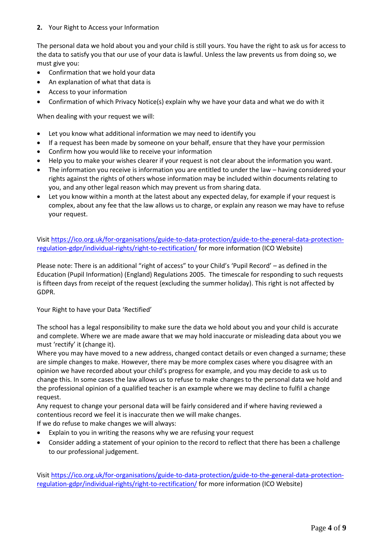#### **2.** Your Right to Access your Information

The personal data we hold about you and your child is still yours. You have the right to ask us for access to the data to satisfy you that our use of your data is lawful. Unless the law prevents us from doing so, we must give you:

- Confirmation that we hold your data
- An explanation of what that data is
- Access to your information
- Confirmation of which Privacy Notice(s) explain why we have your data and what we do with it

When dealing with your request we will:

- Let you know what additional information we may need to identify you
- If a request has been made by someone on your behalf, ensure that they have your permission
- Confirm how you would like to receive your information
- Help you to make your wishes clearer if your request is not clear about the information you want.
- The information you receive is information you are entitled to under the law having considered your rights against the rights of others whose information may be included within documents relating to you, and any other legal reason which may prevent us from sharing data.
- Let you know within a month at the latest about any expected delay, for example if your request is complex, about any fee that the law allows us to charge, or explain any reason we may have to refuse your request.

Visit [https://ico.org.uk/for-organisations/guide-to-data-protection/guide-to-the-general-data-protection](https://ico.org.uk/for-organisations/guide-to-data-protection/guide-to-the-general-data-protection-regulation-gdpr/individual-rights/right-to-rectification/)[regulation-gdpr/individual-rights/right-to-rectification/](https://ico.org.uk/for-organisations/guide-to-data-protection/guide-to-the-general-data-protection-regulation-gdpr/individual-rights/right-to-rectification/) for more information (ICO Website)

Please note: There is an additional "right of access" to your Child's 'Pupil Record' – as defined in the Education (Pupil Information) (England) Regulations 2005. The timescale for responding to such requests is fifteen days from receipt of the request (excluding the summer holiday). This right is not affected by GDPR.

Your Right to have your Data 'Rectified'

The school has a legal responsibility to make sure the data we hold about you and your child is accurate and complete. Where we are made aware that we may hold inaccurate or misleading data about you we must 'rectify' it (change it).

Where you may have moved to a new address, changed contact details or even changed a surname; these are simple changes to make. However, there may be more complex cases where you disagree with an opinion we have recorded about your child's progress for example, and you may decide to ask us to change this. In some cases the law allows us to refuse to make changes to the personal data we hold and the professional opinion of a qualified teacher is an example where we may decline to fulfil a change request.

Any request to change your personal data will be fairly considered and if where having reviewed a contentious record we feel it is inaccurate then we will make changes.

If we do refuse to make changes we will always:

- Explain to you in writing the reasons why we are refusing your request
- Consider adding a statement of your opinion to the record to reflect that there has been a challenge to our professional judgement.

Visit [https://ico.org.uk/for-organisations/guide-to-data-protection/guide-to-the-general-data-protection](https://ico.org.uk/for-organisations/guide-to-data-protection/guide-to-the-general-data-protection-regulation-gdpr/individual-rights/right-to-rectification/)[regulation-gdpr/individual-rights/right-to-rectification/](https://ico.org.uk/for-organisations/guide-to-data-protection/guide-to-the-general-data-protection-regulation-gdpr/individual-rights/right-to-rectification/) for more information (ICO Website)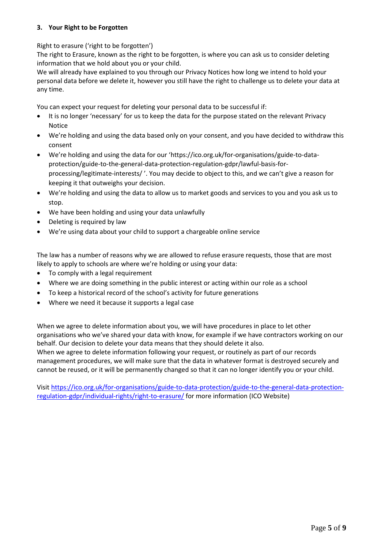## **3. Your Right to be Forgotten**

Right to erasure ('right to be forgotten')

The right to Erasure, known as the right to be forgotten, is where you can ask us to consider deleting information that we hold about you or your child.

We will already have explained to you through our Privacy Notices how long we intend to hold your personal data before we delete it, however you still have the right to challenge us to delete your data at any time.

You can expect your request for deleting your personal data to be successful if:

- It is no longer 'necessary' for us to keep the data for the purpose stated on the relevant Privacy Notice
- We're holding and using the data based only on your consent, and you have decided to withdraw this consent
- We're holding and using the data for our 'https://ico.org.uk/for-organisations/guide-to-dataprotection/guide-to-the-general-data-protection-regulation-gdpr/lawful-basis-forprocessing/legitimate-interests/ '. You may decide to object to this, and we can't give a reason for keeping it that outweighs your decision.
- We're holding and using the data to allow us to market goods and services to you and you ask us to stop.
- We have been holding and using your data unlawfully
- Deleting is required by law
- We're using data about your child to support a chargeable online service

The law has a number of reasons why we are allowed to refuse erasure requests, those that are most likely to apply to schools are where we're holding or using your data:

- To comply with a legal requirement
- Where we are doing something in the public interest or acting within our role as a school
- To keep a historical record of the school's activity for future generations
- Where we need it because it supports a legal case

When we agree to delete information about you, we will have procedures in place to let other organisations who we've shared your data with know, for example if we have contractors working on our behalf. Our decision to delete your data means that they should delete it also.

When we agree to delete information following your request, or routinely as part of our records management procedures, we will make sure that the data in whatever format is destroyed securely and cannot be reused, or it will be permanently changed so that it can no longer identify you or your child.

Visit [https://ico.org.uk/for-organisations/guide-to-data-protection/guide-to-the-general-data-protection](https://ico.org.uk/for-organisations/guide-to-data-protection/guide-to-the-general-data-protection-regulation-gdpr/individual-rights/right-to-erasure/)[regulation-gdpr/individual-rights/right-to-erasure/](https://ico.org.uk/for-organisations/guide-to-data-protection/guide-to-the-general-data-protection-regulation-gdpr/individual-rights/right-to-erasure/) for more information (ICO Website)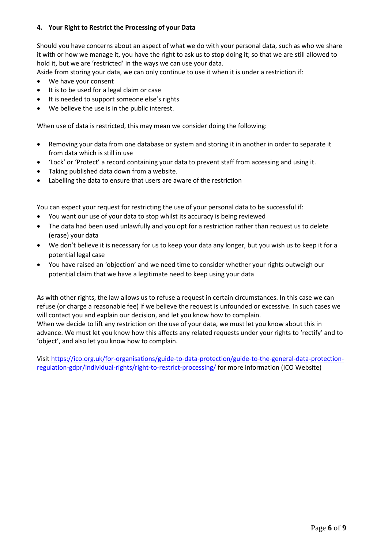## **4. Your Right to Restrict the Processing of your Data**

Should you have concerns about an aspect of what we do with your personal data, such as who we share it with or how we manage it, you have the right to ask us to stop doing it; so that we are still allowed to hold it, but we are 'restricted' in the ways we can use your data.

Aside from storing your data, we can only continue to use it when it is under a restriction if:

- We have your consent
- It is to be used for a legal claim or case
- It is needed to support someone else's rights
- We believe the use is in the public interest.

When use of data is restricted, this may mean we consider doing the following:

- Removing your data from one database or system and storing it in another in order to separate it from data which is still in use
- 'Lock' or 'Protect' a record containing your data to prevent staff from accessing and using it.
- Taking published data down from a website.
- Labelling the data to ensure that users are aware of the restriction

You can expect your request for restricting the use of your personal data to be successful if:

- You want our use of your data to stop whilst its accuracy is being reviewed
- The data had been used unlawfully and you opt for a restriction rather than request us to delete (erase) your data
- We don't believe it is necessary for us to keep your data any longer, but you wish us to keep it for a potential legal case
- You have raised an 'objection' and we need time to consider whether your rights outweigh our potential claim that we have a legitimate need to keep using your data

As with other rights, the law allows us to refuse a request in certain circumstances. In this case we can refuse (or charge a reasonable fee) if we believe the request is unfounded or excessive. In such cases we will contact you and explain our decision, and let you know how to complain. When we decide to lift any restriction on the use of your data, we must let you know about this in advance. We must let you know how this affects any related requests under your rights to 'rectify' and to 'object', and also let you know how to complain.

Visit [https://ico.org.uk/for-organisations/guide-to-data-protection/guide-to-the-general-data-protection](https://ico.org.uk/for-organisations/guide-to-data-protection/guide-to-the-general-data-protection-regulation-gdpr/individual-rights/right-to-restrict-processing/)[regulation-gdpr/individual-rights/right-to-restrict-processing/](https://ico.org.uk/for-organisations/guide-to-data-protection/guide-to-the-general-data-protection-regulation-gdpr/individual-rights/right-to-restrict-processing/) for more information (ICO Website)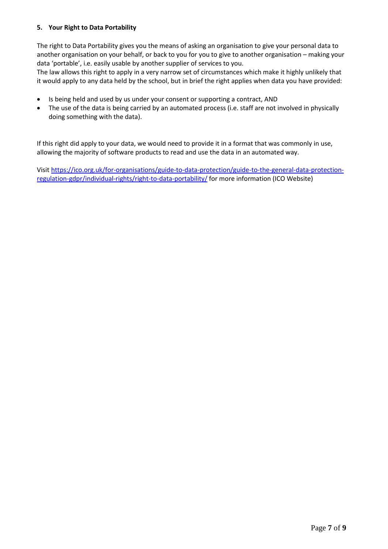#### **5. Your Right to Data Portability**

The right to Data Portability gives you the means of asking an organisation to give your personal data to another organisation on your behalf, or back to you for you to give to another organisation – making your data 'portable', i.e. easily usable by another supplier of services to you.

The law allows this right to apply in a very narrow set of circumstances which make it highly unlikely that it would apply to any data held by the school, but in brief the right applies when data you have provided:

- Is being held and used by us under your consent or supporting a contract, AND
- The use of the data is being carried by an automated process (i.e. staff are not involved in physically doing something with the data).

If this right did apply to your data, we would need to provide it in a format that was commonly in use, allowing the majority of software products to read and use the data in an automated way.

Visit [https://ico.org.uk/for-organisations/guide-to-data-protection/guide-to-the-general-data-protection](https://ico.org.uk/for-organisations/guide-to-data-protection/guide-to-the-general-data-protection-regulation-gdpr/individual-rights/right-to-data-portability/)[regulation-gdpr/individual-rights/right-to-data-portability/](https://ico.org.uk/for-organisations/guide-to-data-protection/guide-to-the-general-data-protection-regulation-gdpr/individual-rights/right-to-data-portability/) for more information (ICO Website)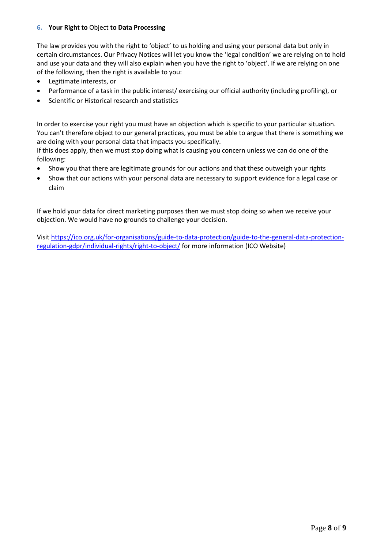#### **6. Your Right to** Object **to Data Processing**

The law provides you with the right to 'object' to us holding and using your personal data but only in certain circumstances. Our Privacy Notices will let you know the 'legal condition' we are relying on to hold and use your data and they will also explain when you have the right to 'object'. If we are relying on one of the following, then the right is available to you:

- Legitimate interests, or
- Performance of a task in the public interest/ exercising our official authority (including profiling), or
- Scientific or Historical research and statistics

In order to exercise your right you must have an objection which is specific to your particular situation. You can't therefore object to our general practices, you must be able to argue that there is something we are doing with your personal data that impacts you specifically.

If this does apply, then we must stop doing what is causing you concern unless we can do one of the following:

- Show you that there are legitimate grounds for our actions and that these outweigh your rights
- Show that our actions with your personal data are necessary to support evidence for a legal case or claim

If we hold your data for direct marketing purposes then we must stop doing so when we receive your objection. We would have no grounds to challenge your decision.

Visit [https://ico.org.uk/for-organisations/guide-to-data-protection/guide-to-the-general-data-protection](https://ico.org.uk/for-organisations/guide-to-data-protection/guide-to-the-general-data-protection-regulation-gdpr/individual-rights/right-to-object/)[regulation-gdpr/individual-rights/right-to-object/](https://ico.org.uk/for-organisations/guide-to-data-protection/guide-to-the-general-data-protection-regulation-gdpr/individual-rights/right-to-object/) for more information (ICO Website)